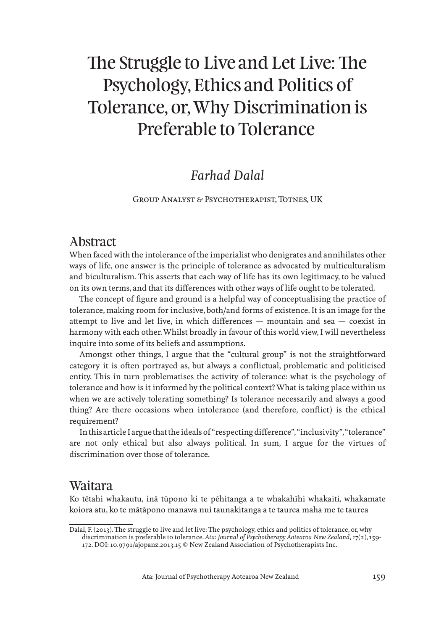# The Struggle to Live and Let Live: The Psychology, Ethics and Politics of Tolerance, or, Why Discrimination is Preferable to Tolerance

# *Farhad Dalal*

Group Analyst & Psychotherapist, Totnes, UK

### Abstract

When faced with the intolerance of the imperialist who denigrates and annihilates other ways of life, one answer is the principle of tolerance as advocated by multiculturalism and biculturalism. This asserts that each way of life has its own legitimacy, to be valued on its own terms, and that its differences with other ways of life ought to be tolerated.

The concept of figure and ground is a helpful way of conceptualising the practice of tolerance, making room for inclusive, both/and forms of existence. It is an image for the attempt to live and let live, in which differences — mountain and sea — coexist in harmony with each other. Whilst broadly in favour of this world view, I will nevertheless inquire into some of its beliefs and assumptions.

Amongst other things, I argue that the "cultural group" is not the straightforward category it is often portrayed as, but always a conflictual, problematic and politicised entity. This in turn problematises the activity of tolerance: what is the psychology of tolerance and how is it informed by the political context? What is taking place within us when we are actively tolerating something? Is tolerance necessarily and always a good thing? Are there occasions when intolerance (and therefore, conflict) is the ethical requirement?

In this article I argue that the ideals of "respecting difference", "inclusivity", "tolerance" are not only ethical but also always political. In sum, I argue for the virtues of discrimination over those of tolerance.

### Waitara

Ko tētahi whakautu, inā tūpono ki te pēhitanga a te whakahīhi whakaiti, whakamate koiora atu, ko te mātāpono manawa nui taunakitanga a te taurea maha me te taurea

Dalal, F. (2013). The struggle to live and let live: The psychology, ethics and politics of tolerance, or, why discrimination is preferable to tolerance. *Ata: Journal of Psychotherapy Aotearoa New Zealand*, *17*(2), 159- 172. DOI: 10.9791/ajopanz.2013.15 © New Zealand Association of Psychotherapists Inc.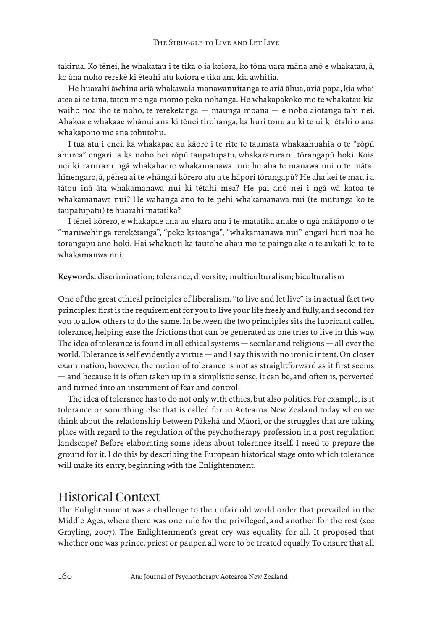takirua. Ko tēnei, he whakatau i te tika o ia koiora, ko tōna uara māna anō e whakatau, ā, ko āna noho rerekē ki ēteahi atu koiora e tika ana kia awhitia.

He huarahi āwhina ariā whakawaia manawanuitanga te ariā āhua, ariā papa, kia whai ātea ai te tāua, tātou me ngā momo peka nōhanga. He whakapakoko mō te whakatau kia waiho noa iho te noho, te rerekētanga — maunga moana — e noho āiotanga tahi nei. Ahakoa e whakaae whānui ana ki tēnei tirohanga, ka huri tonu au ki te ui ki ētahi o ana whakapono me ana tohutohu.

I tua atu i enei, ka whakapae au kāore i te rite te taumata whakaahuahia o te "rōpū ahurea" engari ia ka noho hei rōpū taupatupatu, whakararuraru, tōrangapū hoki. Koia nei ki raruraru ngā whakahaere whakamanawa nui: he aha te manawa nui o te mātai hinengaro, ā, pēhea ai te whāngai kōrero atu a te hāpori tōrangapū? He aha kei te mau i a tātou inā āta whakamanawa nui ki tētahi mea? He pai anō nei i ngā wā katoa te whakamanawa nui? He wāhanga anō tō te pēhi whakamanawa nui (te mutunga ko te taupatupatu) te huarahi matatika?

I tēnei kōrero, e whakapae ana au ehara ana i te matatika anake o ngā mātāpono o te "maruwehinga rerekētanga", "peke katoanga", "whakamanawa nui" engari huri noa he tōrangapū anō hoki. Hai whakaoti ka tautohe ahau mō te painga ake o te aukati ki to te whakamanwa nui.

**Keywords:** discrimination; tolerance; diversity; multiculturalism; biculturalism

One of the great ethical principles of liberalism, "to live and let live" is in actual fact two principles: first is the requirement for you to live your life freely and fully, and second for you to allow others to do the same. In between the two principles sits the lubricant called tolerance, helping ease the frictions that can be generated as one tries to live in this way. The idea of tolerance is found in all ethical systems — secular and religious — all over the world. Tolerance is self evidently a virtue — and I say this with no ironic intent. On closer examination, however, the notion of tolerance is not as straightforward as it first seems — and because it is often taken up in a simplistic sense, it can be, and often is, perverted and turned into an instrument of fear and control.

The idea of tolerance has to do not only with ethics, but also politics. For example, is it tolerance or something else that is called for in Aotearoa New Zealand today when we think about the relationship between Pākehā and Māori, or the struggles that are taking place with regard to the regulation of the psychotherapy profession in a post regulation landscape? Before elaborating some ideas about tolerance itself, I need to prepare the ground for it. I do this by describing the European historical stage onto which tolerance will make its entry, beginning with the Enlightenment.

### Historical Context

The Enlightenment was a challenge to the unfair old world order that prevailed in the Middle Ages, where there was one rule for the privileged, and another for the rest (see Grayling, 2007). The Enlightenment's great cry was equality for all. It proposed that whether one was prince, priest or pauper, all were to be treated equally. To ensure that all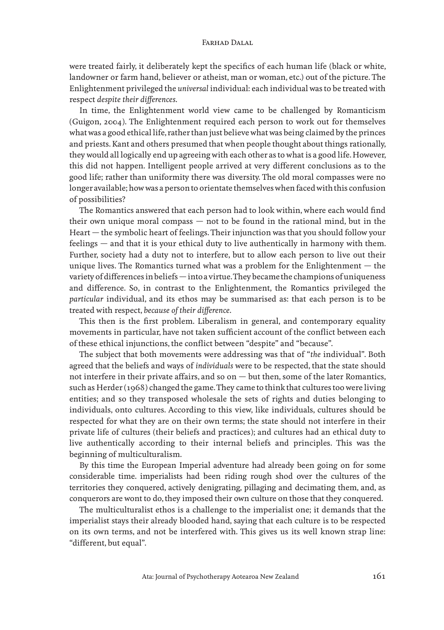were treated fairly, it deliberately kept the specifics of each human life (black or white, landowner or farm hand, believer or atheist, man or woman, etc.) out of the picture. The Enlightenment privileged the *universal* individual: each individual was to be treated with respect *despite their differences*.

In time, the Enlightenment world view came to be challenged by Romanticism (Guigon, 2004). The Enlightenment required each person to work out for themselves what was a good ethical life, rather than just believe what was being claimed by the princes and priests. Kant and others presumed that when people thought about things rationally, they would all logically end up agreeing with each other as to what is a good life. However, this did not happen. Intelligent people arrived at very different conclusions as to the good life; rather than uniformity there was diversity. The old moral compasses were no longer available; how was a person to orientate themselves when faced with this confusion of possibilities?

The Romantics answered that each person had to look within, where each would find their own unique moral compass — not to be found in the rational mind, but in the Heart — the symbolic heart of feelings. Their injunction was that you should follow your feelings — and that it is your ethical duty to live authentically in harmony with them. Further, society had a duty not to interfere, but to allow each person to live out their unique lives. The Romantics turned what was a problem for the Enlightenment  $-$  the variety of differences in beliefs — into a virtue. They became the champions of uniqueness and difference. So, in contrast to the Enlightenment, the Romantics privileged the *particular* individual, and its ethos may be summarised as: that each person is to be treated with respect, *because of their difference*.

This then is the first problem. Liberalism in general, and contemporary equality movements in particular, have not taken sufficient account of the conflict between each of these ethical injunctions, the conflict between "despite" and "because".

The subject that both movements were addressing was that of "*the* individual". Both agreed that the beliefs and ways of *individuals* were to be respected, that the state should not interfere in their private affairs, and so on — but then, some of the later Romantics, such as Herder (1968) changed the game. They came to think that cultures too were living entities; and so they transposed wholesale the sets of rights and duties belonging to individuals, onto cultures. According to this view, like individuals, cultures should be respected for what they are on their own terms; the state should not interfere in their private life of cultures (their beliefs and practices); and cultures had an ethical duty to live authentically according to their internal beliefs and principles. This was the beginning of multiculturalism.

By this time the European Imperial adventure had already been going on for some considerable time. imperialists had been riding rough shod over the cultures of the territories they conquered, actively denigrating, pillaging and decimating them, and, as conquerors are wont to do, they imposed their own culture on those that they conquered.

The multiculturalist ethos is a challenge to the imperialist one; it demands that the imperialist stays their already blooded hand, saying that each culture is to be respected on its own terms, and not be interfered with. This gives us its well known strap line: "different, but equal".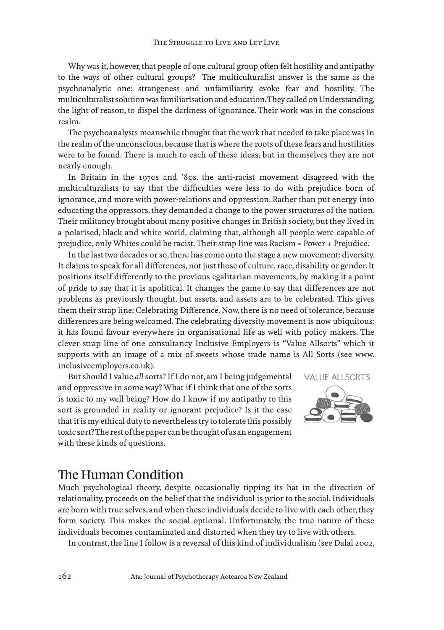Why was it, however, that people of one cultural group often felt hostility and antipathy to the ways of other cultural groups? The multiculturalist answer is the same as the psychoanalytic one: strangeness and unfamiliarity evoke fear and hostility. The multiculturalist solution was familiarisation and education. They called on Understanding, the light of reason, to dispel the darkness of ignorance. Their work was in the conscious realm.

The psychoanalysts meanwhile thought that the work that needed to take place was in the realm of the unconscious, because that is where the roots of these fears and hostilities were to be found. There is much to each of these ideas, but in themselves they are not nearly enough.

In Britain in the 1970s and '80s, the anti-racist movement disagreed with the multiculturalists to say that the difficulties were less to do with prejudice born of ignorance, and more with power-relations and oppression. Rather than put energy into educating the oppressors, they demanded a change to the power structures of the nation. Their militancy brought about many positive changes in British society, but they lived in a polarised, black and white world, claiming that, although all people were capable of prejudice, only Whites could be racist. Their strap line was Racism = Power + Prejudice.

In the last two decades or so, there has come onto the stage a new movement: diversity. It claims to speak for all differences, not just those of culture, race, disability or gender. It positions itself differently to the previous egalitarian movements, by making it a point of pride to say that it is apolitical. It changes the game to say that differences are not problems as previously thought, but assets, and assets are to be celebrated. This gives them their strap line: Celebrating Difference. Now, there is no need of tolerance, because differences are being welcomed. The celebrating diversity movement is now ubiquitous: it has found favour everywhere in organisational life as well with policy makers. The clever strap line of one consultancy Inclusive Employers is "Value Allsorts" which it supports with an image of a mix of sweets whose trade name is All Sorts (see www. inclusiveemployers.co.uk).

But should I value *all* sorts? If I do not, am I being judgemental and oppressive in some way? What if I think that one of the sorts is toxic to my well being? How do I know if my antipathy to this sort is grounded in reality or ignorant prejudice? Is it the case that it is my ethical duty to nevertheless try to tolerate this possibly toxic sort? The rest of the paper can be thought of as an engagement with these kinds of questions.



### The Human Condition

Much psychological theory, despite occasionally tipping its hat in the direction of relationality, proceeds on the belief that the individual is prior to the social. Individuals are born with true selves, and when these individuals decide to live with each other, they form society. This makes the social optional. Unfortunately, the true nature of these individuals becomes contaminated and distorted when they try to live with others.

In contrast, the line I follow is a reversal of this kind of individualism (see Dalal 2002,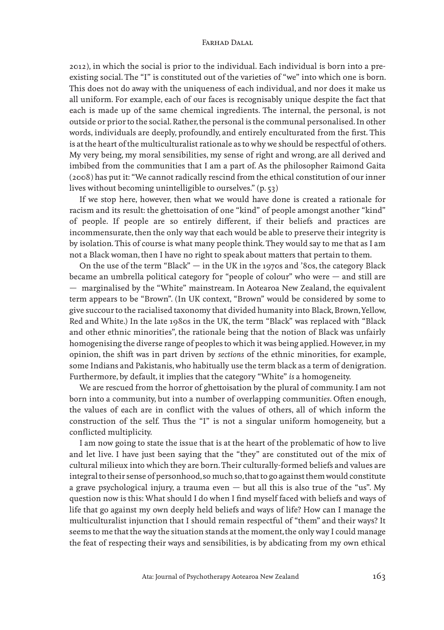2012), in which the social is prior to the individual. Each individual is born into a preexisting social. The "I" is constituted out of the varieties of "we" into which one is born. This does not do away with the uniqueness of each individual, and nor does it make us all uniform. For example, each of our faces is recognisably unique despite the fact that each is made up of the same chemical ingredients. The internal, the personal, is not outside or prior to the social. Rather, the personal is the communal personalised. In other words, individuals are deeply, profoundly, and entirely enculturated from the first. This is at the heart of the multiculturalist rationale as to why we should be respectful of others. My very being, my moral sensibilities, my sense of right and wrong, are all derived and imbibed from the communities that I am a part of. As the philosopher Raimond Gaita (2008) has put it: "We cannot radically rescind from the ethical constitution of our inner lives without becoming unintelligible to ourselves." (p. 53)

If we stop here, however, then what we would have done is created a rationale for racism and its result: the ghettoisation of one "kind" of people amongst another "kind" of people. If people are so entirely different, if their beliefs and practices are incommensurate, then the only way that each would be able to preserve their integrity is by isolation. This of course is what many people think. They would say to me that as I am not a Black woman, then I have no right to speak about matters that pertain to them.

On the use of the term "Black"  $-$  in the UK in the 1970s and '80s, the category Black became an umbrella political category for "people of colour" who were — and still are — marginalised by the "White" mainstream. In Aotearoa New Zealand, the equivalent term appears to be "Brown". (In UK context, "Brown" would be considered by some to give succour to the racialised taxonomy that divided humanity into Black, Brown, Yellow, Red and White.) In the late 1980s in the UK, the term "Black" was replaced with "Black and other ethnic minorities", the rationale being that the notion of Black was unfairly homogenising the diverse range of peoples to which it was being applied. However, in my opinion, the shift was in part driven by *sections* of the ethnic minorities, for example, some Indians and Pakistanis, who habitually use the term black as a term of denigration. Furthermore, by default, it implies that the category "White" *is* a homogeneity.

We are rescued from the horror of ghettoisation by the plural of community. I am not born into a community, but into a number of overlapping communit*ies*. Often enough, the values of each are in conflict with the values of others, all of which inform the construction of the self. Thus the "I" is not a singular uniform homogeneity, but a conflicted multiplicity.

I am now going to state the issue that is at the heart of the problematic of how to live and let live. I have just been saying that the "they" are constituted out of the mix of cultural milieux into which they are born. Their culturally-formed beliefs and values are integral to their sense of personhood, so much so, that to go against them would constitute a grave psychological injury, a trauma even  $-$  but all this is also true of the "us". My question now is this: What should I do when I find myself faced with beliefs and ways of life that go against my own deeply held beliefs and ways of life? How can I manage the multiculturalist injunction that I should remain respectful of "them" and their ways? It seems to me that the way the situation stands at the moment, the only way I could manage the feat of respecting their ways and sensibilities, is by abdicating from my own ethical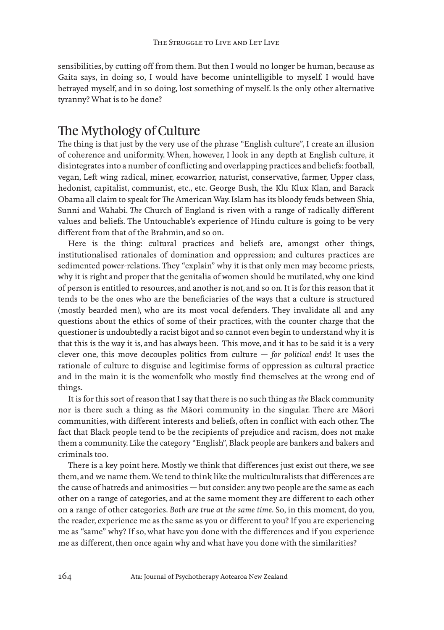sensibilities, by cutting off from them. But then I would no longer be human, because as Gaita says, in doing so, I would have become unintelligible to myself. I would have betrayed myself, and in so doing, lost something of myself. Is the only other alternative tyranny? What is to be done?

### The Mythology of Culture

The thing is that just by the very use of the phrase "English culture", I create an illusion of coherence and uniformity. When, however, I look in any depth at English culture, it disintegrates into a number of conflicting and overlapping practices and beliefs: football, vegan, Left wing radical, miner, ecowarrior, naturist, conservative, farmer, Upper class, hedonist, capitalist, communist, etc., etc. George Bush, the Klu Klux Klan, and Barack Obama all claim to speak for *The* American Way. Islam has its bloody feuds between Shia, Sunni and Wahabi. *The* Church of England is riven with a range of radically different values and beliefs. The Untouchable's experience of Hindu culture is going to be very different from that of the Brahmin, and so on.

Here is the thing: cultural practices and beliefs are, amongst other things, institutionalised rationales of domination and oppression; and cultures practices are sedimented power-relations. They "explain" why it is that only men may become priests, why it is right and proper that the genitalia of women should be mutilated, why one kind of person is entitled to resources, and another is not, and so on. It is for this reason that it tends to be the ones who are the beneficiaries of the ways that a culture is structured (mostly bearded men), who are its most vocal defenders. They invalidate all and any questions about the ethics of some of their practices, with the counter charge that the questioner is undoubtedly a racist bigot and so cannot even begin to understand why it is that this is the way it is, and has always been. This move, and it has to be said it is a very clever one, this move decouples politics from culture — *for political ends*! It uses the rationale of culture to disguise and legitimise forms of oppression as cultural practice and in the main it is the womenfolk who mostly find themselves at the wrong end of things.

It is for this sort of reason that I say that there is no such thing as *the* Black community nor is there such a thing as *the* Māori community in the singular. There are Māori communities, with different interests and beliefs, often in conflict with each other. The fact that Black people tend to be the recipients of prejudice and racism, does not make them a community. Like the category "English", Black people are bankers and bakers and criminals too.

There is a key point here. Mostly we think that differences just exist out there, we see them, and we name them. We tend to think like the multiculturalists that differences are the cause of hatreds and animosities — but consider: any two people are the same as each other on a range of categories, and at the same moment they are different to each other on a range of other categories. *Both are true at the same time.* So, in this moment, do you, the reader, experience me as the same as you or different to you? If you are experiencing me as "same" why? If so, what have you done with the differences and if you experience me as different, then once again why and what have you done with the similarities?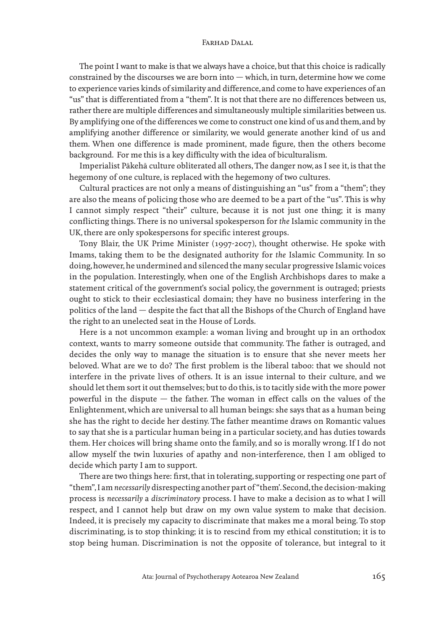The point I want to make is that we always have a choice, but that this choice is radically constrained by the discourses we are born into — which, in turn, determine how we come to experience varies kinds of similarity and difference, and come to have experiences of an "us" that is differentiated from a "them". It is not that there are no differences between us, rather there are multiple differences and simultaneously multiple similarities between us. By amplifying one of the differences we come to construct one kind of us and them, and by amplifying another difference or similarity, we would generate another kind of us and them. When one difference is made prominent, made figure, then the others become background. For me this is a key difficulty with the idea of biculturalism.

Imperialist Pākehā culture obliterated all others, The danger now, as I see it, is that the hegemony of one culture, is replaced with the hegemony of two cultures.

Cultural practices are not only a means of distinguishing an "us" from a "them"; they are also the means of policing those who are deemed to be a part of the "us". This is why I cannot simply respect "their" culture, because it is not just one thing; it is many conflicting things. There is no universal spokesperson for *the* Islamic community in the UK, there are only spokespersons for specific interest groups.

Tony Blair, the UK Prime Minister (1997-2007), thought otherwise. He spoke with Imams, taking them to be the designated authority for *the* Islamic Community. In so doing, however, he undermined and silenced the many secular progressive Islamic voices in the population. Interestingly, when one of the English Archbishops dares to make a statement critical of the government's social policy, the government is outraged; priests ought to stick to their ecclesiastical domain; they have no business interfering in the politics of the land — despite the fact that all the Bishops of the Church of England have the right to an unelected seat in the House of Lords.

Here is a not uncommon example: a woman living and brought up in an orthodox context, wants to marry someone outside that community. The father is outraged, and decides the only way to manage the situation is to ensure that she never meets her beloved. What are we to do? The first problem is the liberal taboo: that we should not interfere in the private lives of others. It is an issue internal to their culture, and we should let them sort it out themselves; but to do this, is to tacitly side with the more power powerful in the dispute — the father. The woman in effect calls on the values of the Enlightenment, which are universal to all human beings: she says that as a human being she has the right to decide her destiny. The father meantime draws on Romantic values to say that she is a particular human being in a particular society, and has duties towards them. Her choices will bring shame onto the family, and so is morally wrong. If I do not allow myself the twin luxuries of apathy and non-interference, then I am obliged to decide which party I am to support.

There are two things here: first, that in tolerating, supporting or respecting one part of "them", I am *necessarily* disrespecting another part of "them'. Second, the decision-making process is *necessarily* a *discriminatory* process. I have to make a decision as to what I will respect, and I cannot help but draw on my own value system to make that decision. Indeed, it is precisely my capacity to discriminate that makes me a moral being. To stop discriminating, is to stop thinking; it is to rescind from my ethical constitution; it is to stop being human. Discrimination is not the opposite of tolerance, but integral to it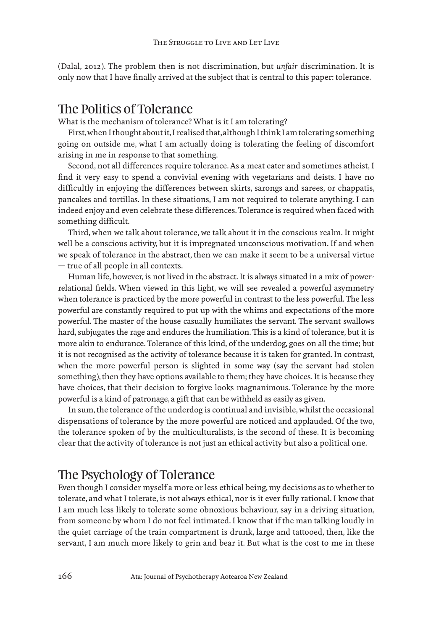(Dalal, 2012). The problem then is not discrimination, but *unfair* discrimination. It is only now that I have finally arrived at the subject that is central to this paper: tolerance.

### The Politics of Tolerance

What is the mechanism of tolerance? What is it I am tolerating?

First, when I thought about it, I realised that, although I think I am tolerating something going on outside me, what I am actually doing is tolerating the feeling of discomfort arising in me in response to that something.

Second, not all differences require tolerance. As a meat eater and sometimes atheist, I find it very easy to spend a convivial evening with vegetarians and deists. I have no difficultly in enjoying the differences between skirts, sarongs and sarees, or chappatis, pancakes and tortillas. In these situations, I am not required to tolerate anything. I can indeed enjoy and even celebrate these differences. Tolerance is required when faced with something difficult.

Third, when we talk about tolerance, we talk about it in the conscious realm. It might well be a conscious activity, but it is impregnated unconscious motivation. If and when we speak of tolerance in the abstract, then we can make it seem to be a universal virtue — true of all people in all contexts.

Human life, however, is not lived in the abstract. It is always situated in a mix of powerrelational fields. When viewed in this light, we will see revealed a powerful asymmetry when tolerance is practiced by the more powerful in contrast to the less powerful. The less powerful are constantly required to put up with the whims and expectations of the more powerful. The master of the house casually humiliates the servant. The servant swallows hard, subjugates the rage and endures the humiliation. This is a kind of tolerance, but it is more akin to endurance. Tolerance of this kind, of the underdog, goes on all the time; but it is not recognised as the activity of tolerance because it is taken for granted. In contrast, when the more powerful person is slighted in some way (say the servant had stolen something), then they have options available to them; they have choices. It is because they have choices, that their decision to forgive looks magnanimous. Tolerance by the more powerful is a kind of patronage, a gift that can be withheld as easily as given.

In sum, the tolerance of the underdog is continual and invisible, whilst the occasional dispensations of tolerance by the more powerful are noticed and applauded. Of the two, the tolerance spoken of by the multiculturalists, is the second of these. It is becoming clear that the activity of tolerance is not just an ethical activity but also a political one.

### The Psychology of Tolerance

Even though I consider myself a more or less ethical being, my decisions as to whether to tolerate, and what I tolerate, is not always ethical, nor is it ever fully rational. I know that I am much less likely to tolerate some obnoxious behaviour, say in a driving situation, from someone by whom I do not feel intimated. I know that if the man talking loudly in the quiet carriage of the train compartment is drunk, large and tattooed, then, like the servant, I am much more likely to grin and bear it. But what is the cost to me in these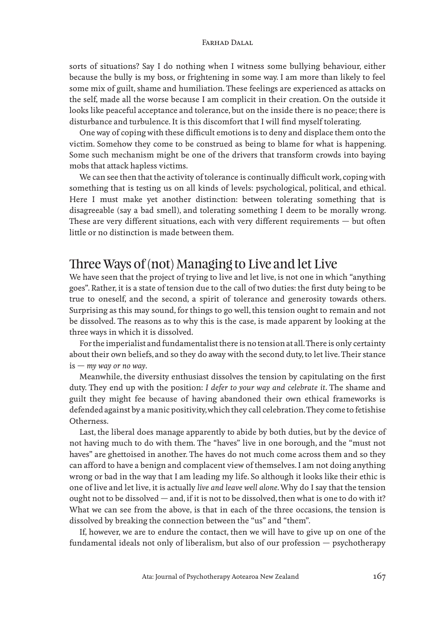sorts of situations? Say I do nothing when I witness some bullying behaviour, either because the bully is my boss, or frightening in some way. I am more than likely to feel some mix of guilt, shame and humiliation. These feelings are experienced as attacks on the self, made all the worse because I am complicit in their creation. On the outside it looks like peaceful acceptance and tolerance, but on the inside there is no peace; there is disturbance and turbulence. It is this discomfort that I will find myself tolerating.

One way of coping with these difficult emotions is to deny and displace them onto the victim. Somehow they come to be construed as being to blame for what is happening. Some such mechanism might be one of the drivers that transform crowds into baying mobs that attack hapless victims.

We can see then that the activity of tolerance is continually difficult work, coping with something that is testing us on all kinds of levels: psychological, political, and ethical. Here I must make yet another distinction: between tolerating something that is disagreeable (say a bad smell), and tolerating something I deem to be morally wrong. These are very different situations, each with very different requirements — but often little or no distinction is made between them.

### Three Ways of (not) Managing to Live and let Live

We have seen that the project of trying to live and let live, is not one in which "anything goes". Rather, it is a state of tension due to the call of two duties: the first duty being to be true to oneself, and the second, a spirit of tolerance and generosity towards others. Surprising as this may sound, for things to go well, this tension ought to remain and not be dissolved. The reasons as to why this is the case, is made apparent by looking at the three ways in which it is dissolved.

For the imperialist and fundamentalist there is no tension at all. There is only certainty about their own beliefs, and so they do away with the second duty, to let live. Their stance is — *my way or no way*.

Meanwhile, the diversity enthusiast dissolves the tension by capitulating on the first duty. They end up with the position: *I defer to your way and celebrate it*. The shame and guilt they might fee because of having abandoned their own ethical frameworks is defended against by a manic positivity, which they call celebration. They come to fetishise Otherness.

Last, the liberal does manage apparently to abide by both duties, but by the device of not having much to do with them. The "haves" live in one borough, and the "must not haves" are ghettoised in another. The haves do not much come across them and so they can afford to have a benign and complacent view of themselves. I am not doing anything wrong or bad in the way that I am leading my life. So although it looks like their ethic is one of live and let live, it is actually *live and leave well alone*. Why do I say that the tension ought not to be dissolved  $-$  and, if it is not to be dissolved, then what is one to do with it? What we can see from the above, is that in each of the three occasions, the tension is dissolved by breaking the connection between the "us" and "them".

If, however, we are to endure the contact, then we will have to give up on one of the fundamental ideals not only of liberalism, but also of our profession — psychotherapy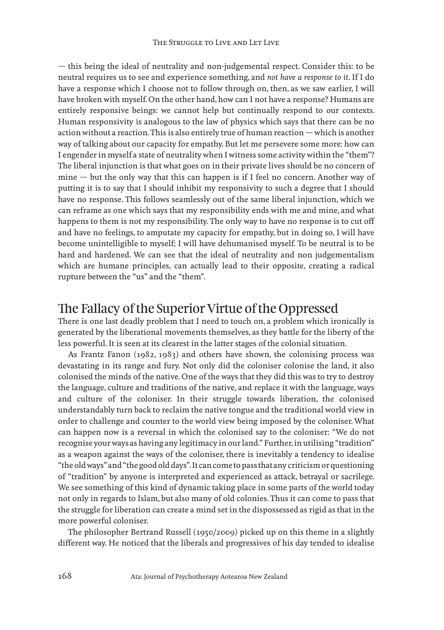— this being the ideal of neutrality and non-judgemental respect. Consider this: to be neutral requires us to see and experience something, and *not have a response to it*. If I do have a response which I choose not to follow through on, then, as we saw earlier, I will have broken with myself. On the other hand, how can I not have a response? Humans are entirely responsive beings: we cannot help but continually respond to our contexts. Human responsivity is analogous to the law of physics which says that there can be no action without a reaction. This is also entirely true of human reaction — which is another way of talking about our capacity for empathy. But let me persevere some more: how can I engender in myself a state of neutrality when I witness some activity within the "them"? The liberal injunction is that what goes on in their private lives should be no concern of mine — but the only way that this can happen is if I feel no concern. Another way of putting it is to say that I should inhibit my responsivity to such a degree that I should have no response. This follows seamlessly out of the same liberal injunction, which we can reframe as one which says that my responsibility ends with me and mine, and what happens to them is not my responsibility. The only way to have no response is to cut off and have no feelings, to amputate my capacity for empathy, but in doing so, I will have become unintelligible to myself; I will have dehumanised myself. To be neutral is to be hard and hardened. We can see that the ideal of neutrality and non judgementalism which are humane principles, can actually lead to their opposite, creating a radical rupture between the "us" and the "them".

### The Fallacy of the Superior Virtue of the Oppressed

There is one last deadly problem that I need to touch on, a problem which ironically is generated by the liberational movements themselves, as they battle for the liberty of the less powerful. It is seen at its clearest in the latter stages of the colonial situation.

As Frantz Fanon (1982, 1983) and others have shown, the colonising process was devastating in its range and fury. Not only did the coloniser colonise the land, it also colonised the minds of the native. One of the ways that they did this was to try to destroy the language, culture and traditions of the native, and replace it with the language, ways and culture of the coloniser. In their struggle towards liberation, the colonised understandably turn back to reclaim the native tongue and the traditional world view in order to challenge and counter to the world view being imposed by the coloniser. What can happen now is a reversal in which the colonised say to the coloniser: "We do not recognise your ways as having any legitimacy in our land." Further, in utilising "tradition" as a weapon against the ways of the coloniser, there is inevitably a tendency to idealise "the old ways" and "the good old days". It can come to pass that any criticism or questioning of "tradition" by anyone is interpreted and experienced as attack, betrayal or sacrilege. We see something of this kind of dynamic taking place in some parts of the world today not only in regards to Islam, but also many of old colonies. Thus it can come to pass that the struggle for liberation can create a mind set in the dispossessed as rigid as that in the more powerful coloniser.

The philosopher Bertrand Russell (1950/2009) picked up on this theme in a slightly different way. He noticed that the liberals and progressives of his day tended to idealise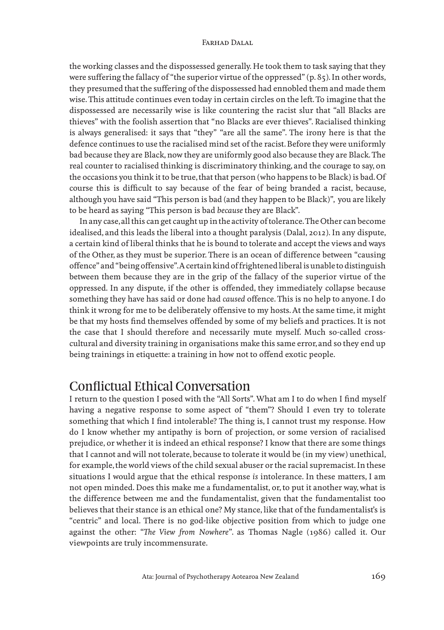the working classes and the dispossessed generally. He took them to task saying that they were suffering the fallacy of "the superior virtue of the oppressed" (p. 85). In other words, they presumed that the suffering of the dispossessed had ennobled them and made them wise. This attitude continues even today in certain circles on the left. To imagine that the dispossessed are necessarily wise is like countering the racist slur that "all Blacks are thieves" with the foolish assertion that "no Blacks are ever thieves". Racialised thinking is always generalised: it says that "they" "are all the same". The irony here is that the defence continues to use the racialised mind set of the racist. Before they were uniformly bad because they are Black, now they are uniformly good also because they are Black. The real counter to racialised thinking is discriminatory thinking, and the courage to say, on the occasions you think it to be true, that that person (who happens to be Black) is bad. Of course this is difficult to say because of the fear of being branded a racist, because, although you have said "This person is bad (and they happen to be Black)", you are likely to be heard as saying "This person is bad *because* they are Black".

In any case, all this can get caught up in the activity of tolerance. The Other can become idealised, and this leads the liberal into a thought paralysis (Dalal, 2012). In any dispute, a certain kind of liberal thinks that he is bound to tolerate and accept the views and ways of the Other, as they must be superior. There is an ocean of difference between "causing offence" and "being offensive". A certain kind of frightened liberal is unable to distinguish between them because they are in the grip of the fallacy of the superior virtue of the oppressed. In any dispute, if the other is offended, they immediately collapse because something they have has said or done had *caused* offence. This is no help to anyone. I do think it wrong for me to be deliberately offensive to my hosts. At the same time, it might be that my hosts find themselves offended by some of my beliefs and practices. It is not the case that I should therefore and necessarily mute myself. Much so-called crosscultural and diversity training in organisations make this same error, and so they end up being trainings in etiquette: a training in how not to offend exotic people.

## Conflictual Ethical Conversation

I return to the question I posed with the "All Sorts". What am I to do when I find myself having a negative response to some aspect of "them"? Should I even try to tolerate something that which I find intolerable? The thing is, I cannot trust my response. How do I know whether my antipathy is born of projection, or some version of racialised prejudice, or whether it is indeed an ethical response? I know that there are some things that I cannot and will not tolerate, because to tolerate it would be (in my view) unethical, for example, the world views of the child sexual abuser or the racial supremacist. In these situations I would argue that the ethical response *is* intolerance. In these matters, I am not open minded. Does this make me a fundamentalist, or, to put it another way, what is the difference between me and the fundamentalist, given that the fundamentalist too believes that their stance is an ethical one? My stance, like that of the fundamentalist's is "centric" and local. There is no god-like objective position from which to judge one against the other: "*The View from Nowhere*". as Thomas Nagle (1986) called it. Our viewpoints are truly incommensurate.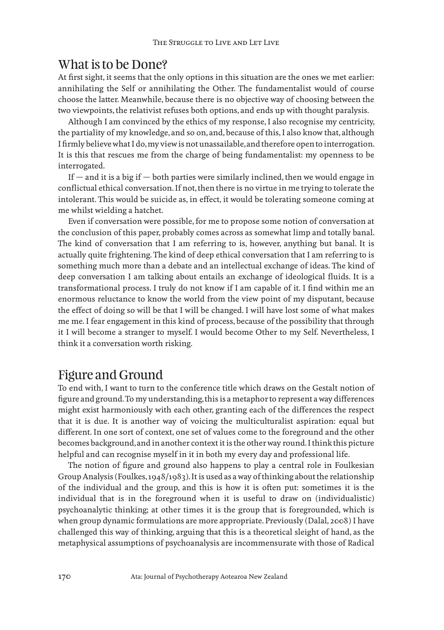### What is to be Done?

At first sight, it seems that the only options in this situation are the ones we met earlier: annihilating the Self or annihilating the Other. The fundamentalist would of course choose the latter. Meanwhile, because there is no objective way of choosing between the two viewpoints, the relativist refuses both options, and ends up with thought paralysis.

Although I am convinced by the ethics of my response, I also recognise my centricity, the partiality of my knowledge, and so on, and, because of this, I also know that, although I firmly believe what I do, my view is not unassailable, and therefore open to interrogation. It is this that rescues me from the charge of being fundamentalist: my openness to be interrogated.

If  $-$  and it is a big if  $-$  both parties were similarly inclined, then we would engage in conflictual ethical conversation. If not, then there is no virtue in me trying to tolerate the intolerant. This would be suicide as, in effect, it would be tolerating someone coming at me whilst wielding a hatchet.

Even if conversation were possible, for me to propose some notion of conversation at the conclusion of this paper, probably comes across as somewhat limp and totally banal. The kind of conversation that I am referring to is, however, anything but banal. It is actually quite frightening. The kind of deep ethical conversation that I am referring to is something much more than a debate and an intellectual exchange of ideas. The kind of deep conversation I am talking about entails an exchange of ideological fluids. It is a transformational process. I truly do not know if I am capable of it. I find within me an enormous reluctance to know the world from the view point of my disputant, because the effect of doing so will be that I will be changed. I will have lost some of what makes me me. I fear engagement in this kind of process, because of the possibility that through it I will become a stranger to myself. I would become Other to my Self. Nevertheless, I think it a conversation worth risking.

### Figure and Ground

To end with, I want to turn to the conference title which draws on the Gestalt notion of figure and ground. To my understanding, this is a metaphor to represent a way differences might exist harmoniously with each other, granting each of the differences the respect that it is due. It is another way of voicing the multiculturalist aspiration: equal but different. In one sort of context, one set of values come to the foreground and the other becomes background, and in another context it is the other way round. I think this picture helpful and can recognise myself in it in both my every day and professional life.

The notion of figure and ground also happens to play a central role in Foulkesian Group Analysis (Foulkes, 1948/1983). It is used as a way of thinking about the relationship of the individual and the group, and this is how it is often put: sometimes it is the individual that is in the foreground when it is useful to draw on (individualistic) psychoanalytic thinking; at other times it is the group that is foregrounded, which is when group dynamic formulations are more appropriate. Previously (Dalal, 2008) I have challenged this way of thinking, arguing that this is a theoretical sleight of hand, as the metaphysical assumptions of psychoanalysis are incommensurate with those of Radical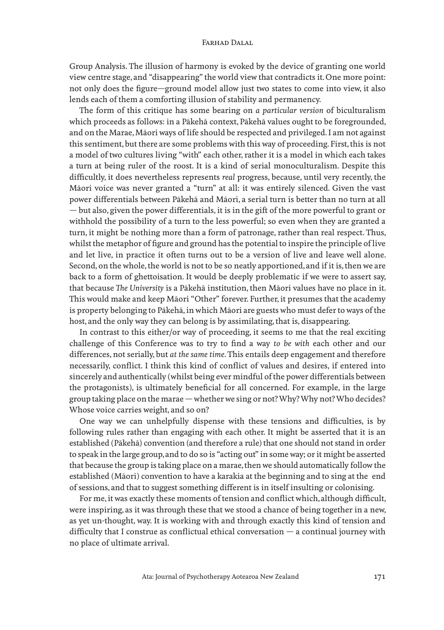Group Analysis. The illusion of harmony is evoked by the device of granting one world view centre stage, and "disappearing" the world view that contradicts it. One more point: not only does the figure—ground model allow just two states to come into view, it also lends each of them a comforting illusion of stability and permanency.

The form of this critique has some bearing on *a particular version* of biculturalism which proceeds as follows: in a Pākehā context, Pākehā values ought to be foregrounded, and on the Marae, Māori ways of life should be respected and privileged. I am not against this sentiment, but there are some problems with this way of proceeding. First, this is not a model of two cultures living "with" each other, rather it is a model in which each takes a turn at being ruler of the roost. It is a kind of serial monoculturalism. Despite this difficultly, it does nevertheless represents *real* progress, because, until very recently, the Māori voice was never granted a "turn" at all: it was entirely silenced. Given the vast power differentials between Pākehā and Māori, a serial turn is better than no turn at all — but also, given the power differentials, it is in the gift of the more powerful to grant or withhold the possibility of a turn to the less powerful; so even when they are granted a turn, it might be nothing more than a form of patronage, rather than real respect. Thus, whilst the metaphor of figure and ground has the potential to inspire the principle of live and let live, in practice it often turns out to be a version of live and leave well alone. Second, on the whole, the world is not to be so neatly apportioned, and if it is, then we are back to a form of ghettoisation. It would be deeply problematic if we were to assert say, that because *The University* is a Pākehā institution, then Māori values have no place in it. This would make and keep Māori "Other" forever. Further, it presumes that the academy is property belonging to Pākehā, in which Māori are guests who must defer to ways of the host, and the only way they can belong is by assimilating, that is, disappearing.

In contrast to this either/or way of proceeding, it seems to me that the real exciting challenge of this Conference was to try to find a way *to be with* each other and our differences, not serially, but *at the same time*. This entails deep engagement and therefore necessarily, conflict. I think this kind of conflict of values and desires, if entered into sincerely and authentically (whilst being ever mindful of the power differentials between the protagonists), is ultimately beneficial for all concerned. For example, in the large group taking place on the marae — whether we sing or not? Why? Why not? Who decides? Whose voice carries weight, and so on?

One way we can unhelpfully dispense with these tensions and difficulties, is by following rules rather than engaging with each other. It might be asserted that it is an established (Pākehā) convention (and therefore a rule) that one should not stand in order to speak in the large group, and to do so is "acting out" in some way; or it might be asserted that because the group is taking place on a marae, then we should automatically follow the established (Māori) convention to have a karakia at the beginning and to sing at the end of sessions, and that to suggest something different is in itself insulting or colonising.

For me, it was exactly these moments of tension and conflict which, although difficult, were inspiring, as it was through these that we stood a chance of being together in a new, as yet un-thought, way. It is working with and through exactly this kind of tension and difficulty that I construe as conflictual ethical conversation — a continual journey with no place of ultimate arrival.